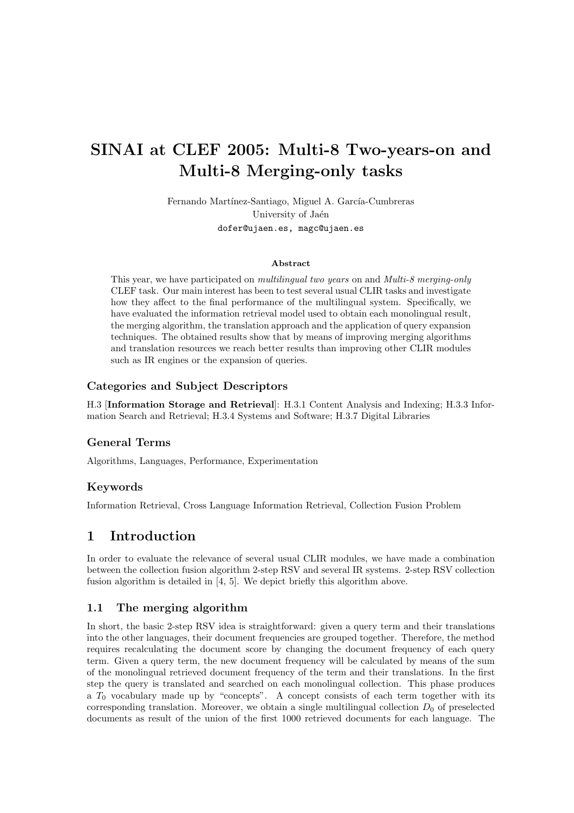# SINAI at CLEF 2005: Multi-8 Two-years-on and Multi-8 Merging-only tasks

Fernando Martínez-Santiago, Miguel A. García-Cumbreras University of Jaén dofer@ujaen.es, magc@ujaen.es

#### Abstract

This year, we have participated on *multilingual two years* on and *Multi-8 merging-only* CLEF task. Our main interest has been to test several usual CLIR tasks and investigate how they affect to the final performance of the multilingual system. Specifically, we have evaluated the information retrieval model used to obtain each monolingual result, the merging algorithm, the translation approach and the application of query expansion techniques. The obtained results show that by means of improving merging algorithms and translation resources we reach better results than improving other CLIR modules such as IR engines or the expansion of queries.

#### Categories and Subject Descriptors

H.3 [Information Storage and Retrieval]: H.3.1 Content Analysis and Indexing; H.3.3 Information Search and Retrieval; H.3.4 Systems and Software; H.3.7 Digital Libraries

#### General Terms

Algorithms, Languages, Performance, Experimentation

#### Keywords

Information Retrieval, Cross Language Information Retrieval, Collection Fusion Problem

## 1 Introduction

In order to evaluate the relevance of several usual CLIR modules, we have made a combination between the collection fusion algorithm 2-step RSV and several IR systems. 2-step RSV collection fusion algorithm is detailed in [4, 5]. We depict briefly this algorithm above.

#### 1.1 The merging algorithm

In short, the basic 2-step RSV idea is straightforward: given a query term and their translations into the other languages, their document frequencies are grouped together. Therefore, the method requires recalculating the document score by changing the document frequency of each query term. Given a query term, the new document frequency will be calculated by means of the sum of the monolingual retrieved document frequency of the term and their translations. In the first step the query is translated and searched on each monolingual collection. This phase produces a  $T_0$  vocabulary made up by "concepts". A concept consists of each term together with its corresponding translation. Moreover, we obtain a single multilingual collection  $D_0$  of preselected documents as result of the union of the first 1000 retrieved documents for each language. The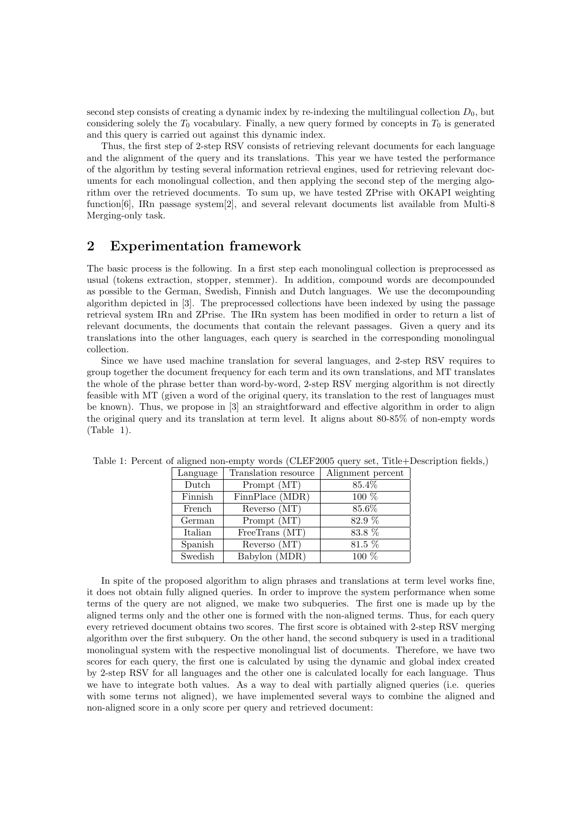second step consists of creating a dynamic index by re-indexing the multilingual collection  $D_0$ , but considering solely the  $T_0$  vocabulary. Finally, a new query formed by concepts in  $T_0$  is generated and this query is carried out against this dynamic index.

Thus, the first step of 2-step RSV consists of retrieving relevant documents for each language and the alignment of the query and its translations. This year we have tested the performance of the algorithm by testing several information retrieval engines, used for retrieving relevant documents for each monolingual collection, and then applying the second step of the merging algorithm over the retrieved documents. To sum up, we have tested ZPrise with OKAPI weighting function[6], IRn passage system[2], and several relevant documents list available from Multi-8 Merging-only task.

## 2 Experimentation framework

The basic process is the following. In a first step each monolingual collection is preprocessed as usual (tokens extraction, stopper, stemmer). In addition, compound words are decompounded as possible to the German, Swedish, Finnish and Dutch languages. We use the decompounding algorithm depicted in [3]. The preprocessed collections have been indexed by using the passage retrieval system IRn and ZPrise. The IRn system has been modified in order to return a list of relevant documents, the documents that contain the relevant passages. Given a query and its translations into the other languages, each query is searched in the corresponding monolingual collection.

Since we have used machine translation for several languages, and 2-step RSV requires to group together the document frequency for each term and its own translations, and MT translates the whole of the phrase better than word-by-word, 2-step RSV merging algorithm is not directly feasible with MT (given a word of the original query, its translation to the rest of languages must be known). Thus, we propose in [3] an straightforward and effective algorithm in order to align the original query and its translation at term level. It aligns about 80-85% of non-empty words (Table 1).

| Language | Translation resource | Alignment percent |
|----------|----------------------|-------------------|
| Dutch    | Prompt (MT)          | 85.4%             |
| Finnish  | FinnPlace (MDR)      | $100\%$           |
| French   | Reverso (MT)         | 85.6%             |
| German   | Prompt (MT)          | 82.9 %            |
| Italian  | FreeTrans $(MT)$     | 83.8 %            |
| Spanish  | Reverso (MT)         | $81.5\%$          |
| Swedish  | Babylon (MDR)        | $100\%$           |

Table 1: Percent of aligned non-empty words (CLEF2005 query set, Title+Description fields,)

In spite of the proposed algorithm to align phrases and translations at term level works fine, it does not obtain fully aligned queries. In order to improve the system performance when some terms of the query are not aligned, we make two subqueries. The first one is made up by the aligned terms only and the other one is formed with the non-aligned terms. Thus, for each query every retrieved document obtains two scores. The first score is obtained with 2-step RSV merging algorithm over the first subquery. On the other hand, the second subquery is used in a traditional monolingual system with the respective monolingual list of documents. Therefore, we have two scores for each query, the first one is calculated by using the dynamic and global index created by 2-step RSV for all languages and the other one is calculated locally for each language. Thus we have to integrate both values. As a way to deal with partially aligned queries (i.e. queries with some terms not aligned), we have implemented several ways to combine the aligned and non-aligned score in a only score per query and retrieved document: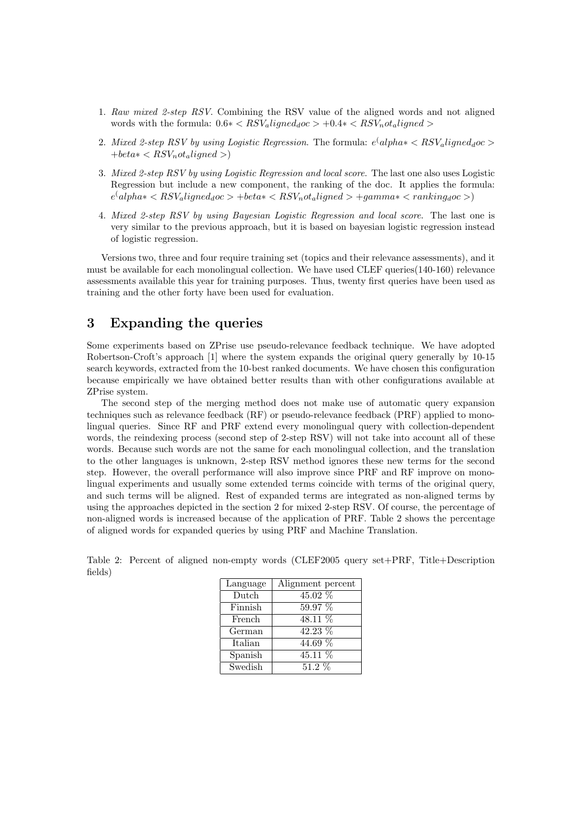- 1. Raw mixed 2-step RSV. Combining the RSV value of the aligned words and not aligned words with the formula:  $0.6 * < RSV_{a}$ ligned $_{d}$ oc > +0.4 $* < RSV_{n}$ ot<sub>a</sub>ligned >
- 2. Mixed 2-step RSV by using Logistic Regression. The formula:  $e^{\langle}$  alpha $*\langle RSV_a$ ligned<sub>d</sub>oc  $>$  $+beta * < RSV_not_{aligned} >$
- 3. Mixed 2-step RSV by using Logistic Regression and local score. The last one also uses Logistic Regression but include a new component, the ranking of the doc. It applies the formula:  $e^{\langle}$ alpha $* < RSV_{a}$ ligned $_{d}$ oc > +beta $* < RSV_{n}$ ot $_{a}$ ligned > +gamma $* < ranking_{d}$ oc >)
- 4. Mixed 2-step RSV by using Bayesian Logistic Regression and local score. The last one is very similar to the previous approach, but it is based on bayesian logistic regression instead of logistic regression.

Versions two, three and four require training set (topics and their relevance assessments), and it must be available for each monolingual collection. We have used CLEF queries(140-160) relevance assessments available this year for training purposes. Thus, twenty first queries have been used as training and the other forty have been used for evaluation.

## 3 Expanding the queries

Some experiments based on ZPrise use pseudo-relevance feedback technique. We have adopted Robertson-Croft's approach [1] where the system expands the original query generally by 10-15 search keywords, extracted from the 10-best ranked documents. We have chosen this configuration because empirically we have obtained better results than with other configurations available at ZPrise system.

The second step of the merging method does not make use of automatic query expansion techniques such as relevance feedback (RF) or pseudo-relevance feedback (PRF) applied to monolingual queries. Since RF and PRF extend every monolingual query with collection-dependent words, the reindexing process (second step of 2-step RSV) will not take into account all of these words. Because such words are not the same for each monolingual collection, and the translation to the other languages is unknown, 2-step RSV method ignores these new terms for the second step. However, the overall performance will also improve since PRF and RF improve on monolingual experiments and usually some extended terms coincide with terms of the original query, and such terms will be aligned. Rest of expanded terms are integrated as non-aligned terms by using the approaches depicted in the section 2 for mixed 2-step RSV. Of course, the percentage of non-aligned words is increased because of the application of PRF. Table 2 shows the percentage of aligned words for expanded queries by using PRF and Machine Translation.

| Language | Alignment percent     |
|----------|-----------------------|
| Dutch    | 45.02 %               |
| Finnish  | 59.97 %               |
| French   | 48.11 %               |
| German   | $\overline{42.23}~\%$ |
| Italian  | $44.69\%$             |
| Spanish  | 45.11 %               |
| Swedish  | $51.2\ \%$            |

Table 2: Percent of aligned non-empty words (CLEF2005 query set+PRF, Title+Description fields)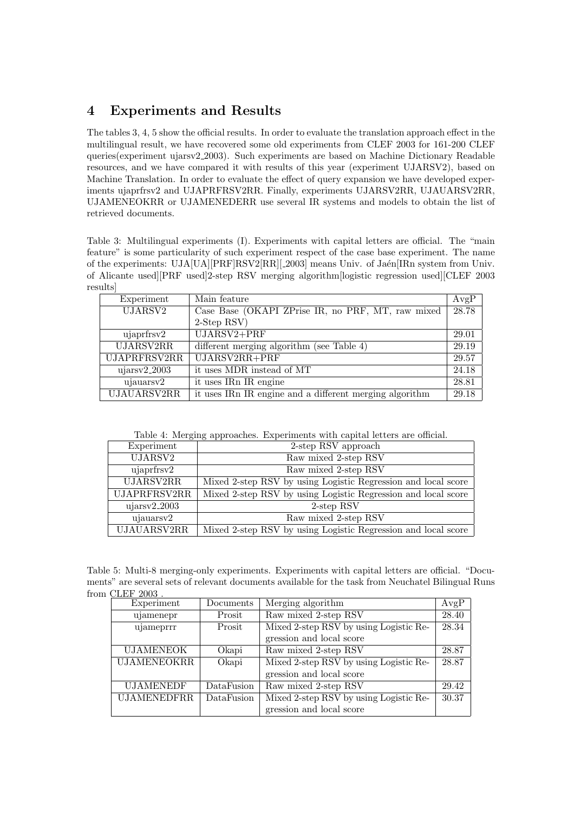# 4 Experiments and Results

The tables 3, 4, 5 show the official results. In order to evaluate the translation approach effect in the multilingual result, we have recovered some old experiments from CLEF 2003 for 161-200 CLEF queries(experiment ujarsv2 2003). Such experiments are based on Machine Dictionary Readable resources, and we have compared it with results of this year (experiment UJARSV2), based on Machine Translation. In order to evaluate the effect of query expansion we have developed experiments ujaprfrsv2 and UJAPRFRSV2RR. Finally, experiments UJARSV2RR, UJAUARSV2RR, UJAMENEOKRR or UJAMENEDERR use several IR systems and models to obtain the list of retrieved documents.

Table 3: Multilingual experiments (I). Experiments with capital letters are official. The "main feature" is some particularity of such experiment respect of the case base experiment. The name of the experiments: UJA[UA][PRF]RSV2[RR][\_2003] means Univ. of Jaén[IRn system from Univ. of Alicante used][PRF used]2-step RSV merging algorithm[logistic regression used][CLEF 2003 results]

| Experiment          | Main feature                                            | AvgP  |
|---------------------|---------------------------------------------------------|-------|
| UJARSV <sub>2</sub> | Case Base (OKAPI ZPrise IR, no PRF, MT, raw mixed       | 28.78 |
|                     | 2-Step RSV)                                             |       |
| ujaprfrsv2          | $UJARSV2 + PRF$                                         | 29.01 |
| <b>UJARSV2RR</b>    | different merging algorithm (see Table 4)               | 29.19 |
| UJAPRFRSV2RR        | UJARSV2RR+PRF                                           | 29.57 |
| $ujarsv2_2003$      | it uses MDR instead of MT                               | 24.18 |
| ujauarsv2           | it uses IRn IR engine                                   | 28.81 |
| <b>UJAUARSV2RR</b>  | it uses IRn IR engine and a different merging algorithm | 29.18 |

Table 4: Merging approaches. Experiments with capital letters are official.

| Experiment          | 2-step RSV approach                                           |  |
|---------------------|---------------------------------------------------------------|--|
| UJARSV <sub>2</sub> | Raw mixed 2-step RSV                                          |  |
| ujaprfrsv2          | Raw mixed 2-step RSV                                          |  |
| <b>UJARSV2RR</b>    | Mixed 2-step RSV by using Logistic Regression and local score |  |
| UJAPRFRSV2RR        | Mixed 2-step RSV by using Logistic Regression and local score |  |
| ujarsv2.2003        | 2-step RSV                                                    |  |
| ujauarsv2           | Raw mixed 2-step RSV                                          |  |
| <b>UJAUARSV2RR</b>  | Mixed 2-step RSV by using Logistic Regression and local score |  |

Table 5: Multi-8 merging-only experiments. Experiments with capital letters are official. "Documents" are several sets of relevant documents available for the task from Neuchatel Bilingual Runs from CLEF 2003

| Experiment         | Documents  | Merging algorithm                      | AvgP  |
|--------------------|------------|----------------------------------------|-------|
| ujamenepr          | Prosit     | Raw mixed 2-step RSV                   | 28.40 |
| ujameprrr          | Prosit     | Mixed 2-step RSV by using Logistic Re- | 28.34 |
|                    |            | gression and local score               |       |
| <b>UJAMENEOK</b>   | Okapi      | Raw mixed 2-step RSV                   | 28.87 |
| <b>UJAMENEOKRR</b> | Okapi      | Mixed 2-step RSV by using Logistic Re- | 28.87 |
|                    |            | gression and local score               |       |
| <b>UJAMENEDF</b>   | DataFusion | Raw mixed 2-step RSV                   | 29.42 |
| <b>UJAMENEDFRR</b> | DataFusion | Mixed 2-step RSV by using Logistic Re- | 30.37 |
|                    |            | gression and local score               |       |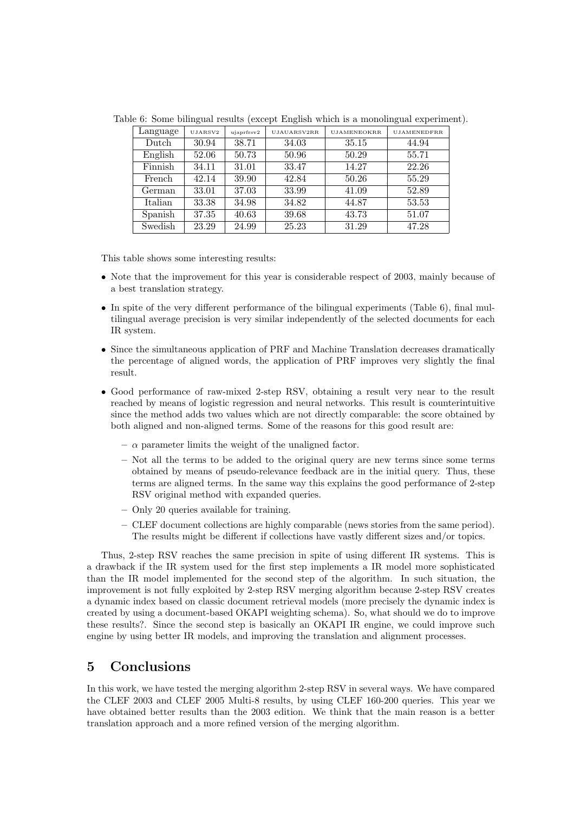| Language | UJARSV2 | ujaprfrsv2 | UJAUARSV2RR | <b>UJAMENEOKRR</b> | <b>UJAMENEDFRR</b> |
|----------|---------|------------|-------------|--------------------|--------------------|
| Dutch    | 30.94   | 38.71      | 34.03       | 35.15              | 44.94              |
| English  | 52.06   | 50.73      | 50.96       | 50.29              | 55.71              |
| Finnish  | 34.11   | 31.01      | 33.47       | 14.27              | 22.26              |
| French   | 42.14   | 39.90      | 42.84       | 50.26              | 55.29              |
| German   | 33.01   | 37.03      | 33.99       | 41.09              | 52.89              |
| Italian  | 33.38   | 34.98      | 34.82       | 44.87              | 53.53              |
| Spanish  | 37.35   | 40.63      | 39.68       | 43.73              | 51.07              |
| Swedish  | 23.29   | 24.99      | 25.23       | 31.29              | 47.28              |

Table 6: Some bilingual results (except English which is a monolingual experiment).

This table shows some interesting results:

- Note that the improvement for this year is considerable respect of 2003, mainly because of a best translation strategy.
- In spite of the very different performance of the bilingual experiments (Table 6), final multilingual average precision is very similar independently of the selected documents for each IR system.
- Since the simultaneous application of PRF and Machine Translation decreases dramatically the percentage of aligned words, the application of PRF improves very slightly the final result.
- Good performance of raw-mixed 2-step RSV, obtaining a result very near to the result reached by means of logistic regression and neural networks. This result is counterintuitive since the method adds two values which are not directly comparable: the score obtained by both aligned and non-aligned terms. Some of the reasons for this good result are:
	- $-\alpha$  parameter limits the weight of the unaligned factor.
	- Not all the terms to be added to the original query are new terms since some terms obtained by means of pseudo-relevance feedback are in the initial query. Thus, these terms are aligned terms. In the same way this explains the good performance of 2-step RSV original method with expanded queries.
	- Only 20 queries available for training.
	- CLEF document collections are highly comparable (news stories from the same period). The results might be different if collections have vastly different sizes and/or topics.

Thus, 2-step RSV reaches the same precision in spite of using different IR systems. This is a drawback if the IR system used for the first step implements a IR model more sophisticated than the IR model implemented for the second step of the algorithm. In such situation, the improvement is not fully exploited by 2-step RSV merging algorithm because 2-step RSV creates a dynamic index based on classic document retrieval models (more precisely the dynamic index is created by using a document-based OKAPI weighting schema). So, what should we do to improve these results?. Since the second step is basically an OKAPI IR engine, we could improve such engine by using better IR models, and improving the translation and alignment processes.

## 5 Conclusions

In this work, we have tested the merging algorithm 2-step RSV in several ways. We have compared the CLEF 2003 and CLEF 2005 Multi-8 results, by using CLEF 160-200 queries. This year we have obtained better results than the 2003 edition. We think that the main reason is a better translation approach and a more refined version of the merging algorithm.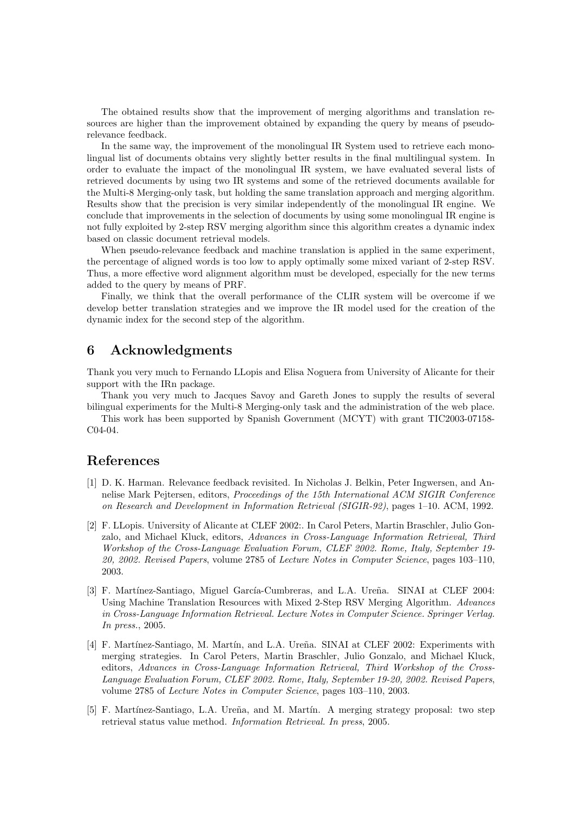The obtained results show that the improvement of merging algorithms and translation resources are higher than the improvement obtained by expanding the query by means of pseudorelevance feedback.

In the same way, the improvement of the monolingual IR System used to retrieve each monolingual list of documents obtains very slightly better results in the final multilingual system. In order to evaluate the impact of the monolingual IR system, we have evaluated several lists of retrieved documents by using two IR systems and some of the retrieved documents available for the Multi-8 Merging-only task, but holding the same translation approach and merging algorithm. Results show that the precision is very similar independently of the monolingual IR engine. We conclude that improvements in the selection of documents by using some monolingual IR engine is not fully exploited by 2-step RSV merging algorithm since this algorithm creates a dynamic index based on classic document retrieval models.

When pseudo-relevance feedback and machine translation is applied in the same experiment, the percentage of aligned words is too low to apply optimally some mixed variant of 2-step RSV. Thus, a more effective word alignment algorithm must be developed, especially for the new terms added to the query by means of PRF.

Finally, we think that the overall performance of the CLIR system will be overcome if we develop better translation strategies and we improve the IR model used for the creation of the dynamic index for the second step of the algorithm.

## 6 Acknowledgments

Thank you very much to Fernando LLopis and Elisa Noguera from University of Alicante for their support with the IRn package.

Thank you very much to Jacques Savoy and Gareth Jones to supply the results of several bilingual experiments for the Multi-8 Merging-only task and the administration of the web place.

This work has been supported by Spanish Government (MCYT) with grant TIC2003-07158- C04-04.

## References

- [1] D. K. Harman. Relevance feedback revisited. In Nicholas J. Belkin, Peter Ingwersen, and Annelise Mark Pejtersen, editors, Proceedings of the 15th International ACM SIGIR Conference on Research and Development in Information Retrieval (SIGIR-92), pages 1–10. ACM, 1992.
- [2] F. LLopis. University of Alicante at CLEF 2002:. In Carol Peters, Martin Braschler, Julio Gonzalo, and Michael Kluck, editors, Advances in Cross-Language Information Retrieval, Third Workshop of the Cross-Language Evaluation Forum, CLEF 2002. Rome, Italy, September 19- 20, 2002. Revised Papers, volume 2785 of Lecture Notes in Computer Science, pages 103–110, 2003.
- [3] F. Martínez-Santiago, Miguel García-Cumbreras, and L.A. Ureña. SINAI at CLEF 2004: Using Machine Translation Resources with Mixed 2-Step RSV Merging Algorithm. Advances in Cross-Language Information Retrieval. Lecture Notes in Computer Science. Springer Verlag. In press., 2005.
- [4] F. Martínez-Santiago, M. Martín, and L.A. Ureña. SINAI at CLEF 2002: Experiments with merging strategies. In Carol Peters, Martin Braschler, Julio Gonzalo, and Michael Kluck, editors, Advances in Cross-Language Information Retrieval, Third Workshop of the Cross-Language Evaluation Forum, CLEF 2002. Rome, Italy, September 19-20, 2002. Revised Papers, volume 2785 of Lecture Notes in Computer Science, pages 103–110, 2003.
- [5] F. Martínez-Santiago, L.A. Ureña, and M. Martín. A merging strategy proposal: two step retrieval status value method. Information Retrieval. In press, 2005.